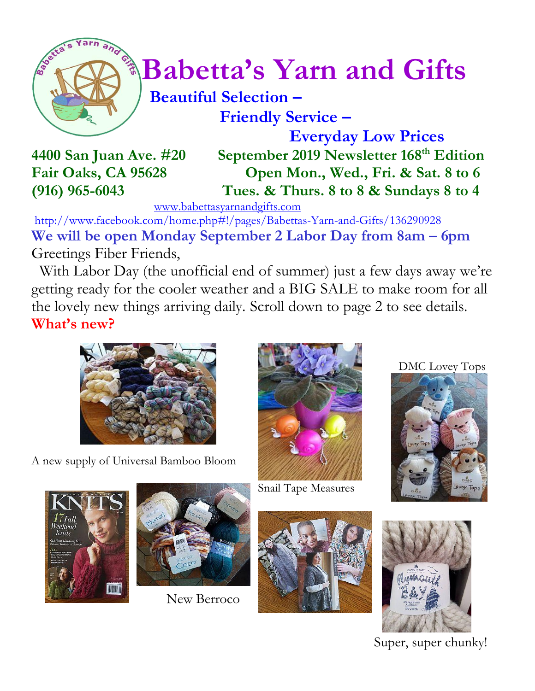

# $\int_{a}^{\frac{1}{2}} \sqrt{\frac{1}{a}} Babetta's Yarn and Gifts$

#### **Beautiful Selection – Friendly Service –**

 **Everyday Low Prices 4400 San Juan Ave. #20 September 2019 Newsletter 168 th Edition Fair Oaks, CA 95628 Open Mon., Wed., Fri. & Sat. 8 to 6 (916) 965-6043 Tues. & Thurs. 8 to 8 & Sundays 8 to 4**

[www.babettasyarnandgifts.com](http://www.babettasyarnandgifts.com/)

<http://www.facebook.com/home.php#!/pages/Babettas-Yarn-and-Gifts/136290928> **We will be open Monday September 2 Labor Day from 8am – 6pm** Greetings Fiber Friends,

 With Labor Day (the unofficial end of summer) just a few days away we're getting ready for the cooler weather and a BIG SALE to make room for all the lovely new things arriving daily. Scroll down to page 2 to see details. **What's new?**



A new supply of Universal Bamboo Bloom



Snail Tape Measures

DMC Lovey Tops







New Berroco





Super, super chunky!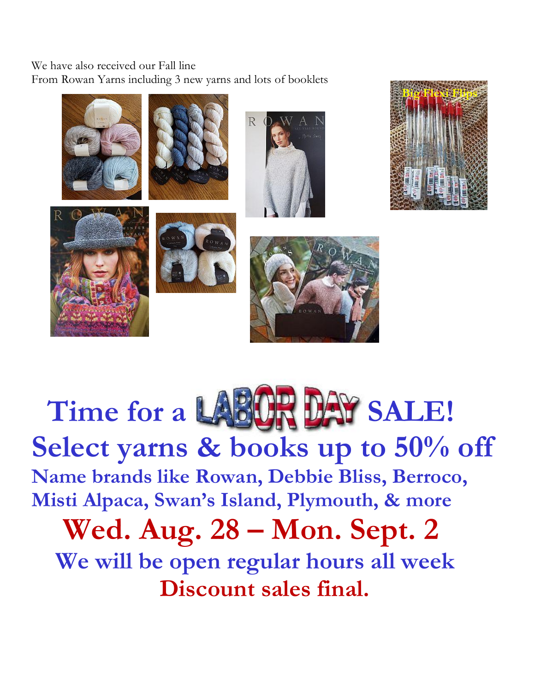We have also received our Fall line From Rowan Yarns including 3 new yarns and lots of booklets



## Time for a LABIUR DAY SALE! **Select yarns & books up to 50% off Name brands like Rowan, Debbie Bliss, Berroco, Misti Alpaca, Swan's Island, Plymouth, & more Wed. Aug. 28 – Mon. Sept. 2 We will be open regular hours all week**

 **Discount sales final.**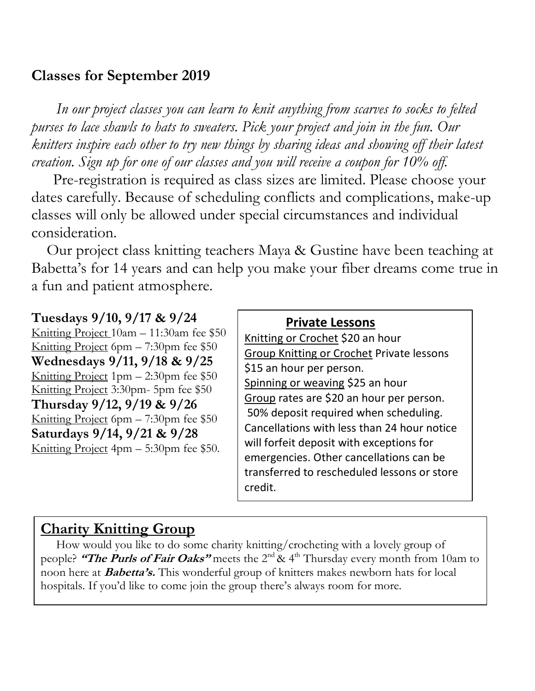#### **Classes for September 2019**

 *In our project classes you can learn to knit anything from scarves to socks to felted purses to lace shawls to hats to sweaters. Pick your project and join in the fun. Our knitters inspire each other to try new things by sharing ideas and showing off their latest creation. Sign up for one of our classes and you will receive a coupon for 10% off.*

Pre-registration is required as class sizes are limited. Please choose your dates carefully. Because of scheduling conflicts and complications, make-up classes will only be allowed under special circumstances and individual consideration.

Our project class knitting teachers Maya & Gustine have been teaching at Babetta's for 14 years and can help you make your fiber dreams come true in a fun and patient atmosphere.

#### **Tuesdays 9/10, 9/17 & 9/24**

Knitting Project 10am – 11:30am fee \$50 Knitting Project 6pm – 7:30pm fee \$50 **Wednesdays 9/11, 9/18 & 9/25** Knitting Project 1pm – 2:30pm fee \$50 Knitting Project 3:30pm- 5pm fee \$50 **Thursday 9/12, 9/19 & 9/26** Knitting Project 6pm – 7:30pm fee \$50 **Saturdays 9/14, 9/21 & 9/28** Knitting Project 4pm – 5:30pm fee \$50.

| <b>Private Lessons</b>                                 |
|--------------------------------------------------------|
| Knitting or Crochet \$20 an hour                       |
| Group Knitting or Crochet Private lessons              |
| \$15 an hour per person.                               |
| Spinning or weaving \$25 an hour                       |
| Group rates are \$20 an hour per person.               |
| 50% deposit required when scheduling.                  |
| Cancellations with less than 24 hour notice            |
| will forfeit deposit with exceptions for               |
| emergencies. Other cancellations can be                |
| transferred to rescheduled lessons or store<br>credit. |
|                                                        |

#### **Charity Knitting Group**

 How would you like to do some charity knitting/crocheting with a lovely group of people? **"The Purls of Fair Oaks"** meets the 2nd & 4th Thursday every month from 10am to noon here at **Babetta's.** This wonderful group of knitters makes newborn hats for local hospitals. If you'd like to come join the group there's always room for more.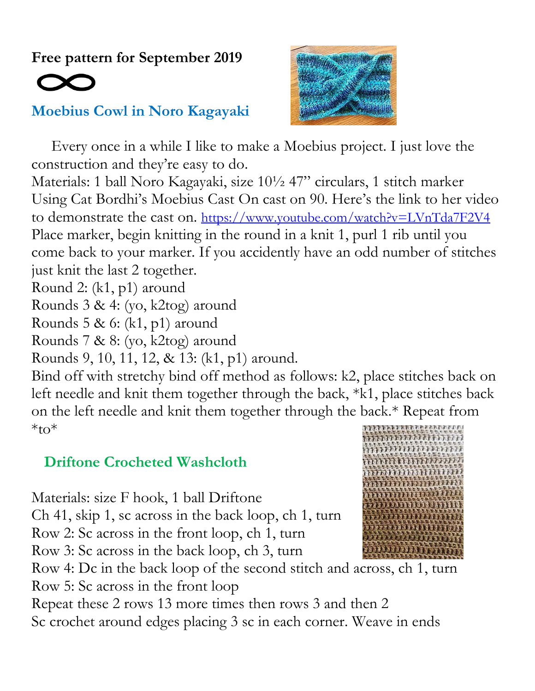**Free pattern for September 2019**

#### **Moebius Cowl in Noro Kagayaki**



 Every once in a while I like to make a Moebius project. I just love the construction and they're easy to do.

Materials: 1 ball Noro Kagayaki, size 10½ 47" circulars, 1 stitch marker Using Cat Bordhi's Moebius Cast On cast on 90. Here's the link to her video to demonstrate the cast on. <https://www.youtube.com/watch?v=LVnTda7F2V4> Place marker, begin knitting in the round in a knit 1, purl 1 rib until you come back to your marker. If you accidently have an odd number of stitches just knit the last 2 together.

Round 2: (k1, p1) around

Rounds 3 & 4: (yo, k2tog) around

Rounds 5 & 6: (k1, p1) around

Rounds 7 & 8: (yo, k2tog) around

Rounds 9, 10, 11, 12, & 13: (k1, p1) around.

Bind off with stretchy bind off method as follows: k2, place stitches back on left needle and knit them together through the back, \*k1, place stitches back on the left needle and knit them together through the back.\* Repeat from  $*_{\text{to}}$ 

#### **Driftone Crocheted Washcloth**

Materials: size F hook, 1 ball Driftone Ch 41, skip 1, sc across in the back loop, ch 1, turn Row 2: Sc across in the front loop, ch 1, turn Row 3: Sc across in the back loop, ch 3, turn Row 4: Dc in the back loop of the second stitch and across, ch 1, turn Row 5: Sc across in the front loop Repeat these 2 rows 13 more times then rows 3 and then 2

Sc crochet around edges placing 3 sc in each corner. Weave in ends